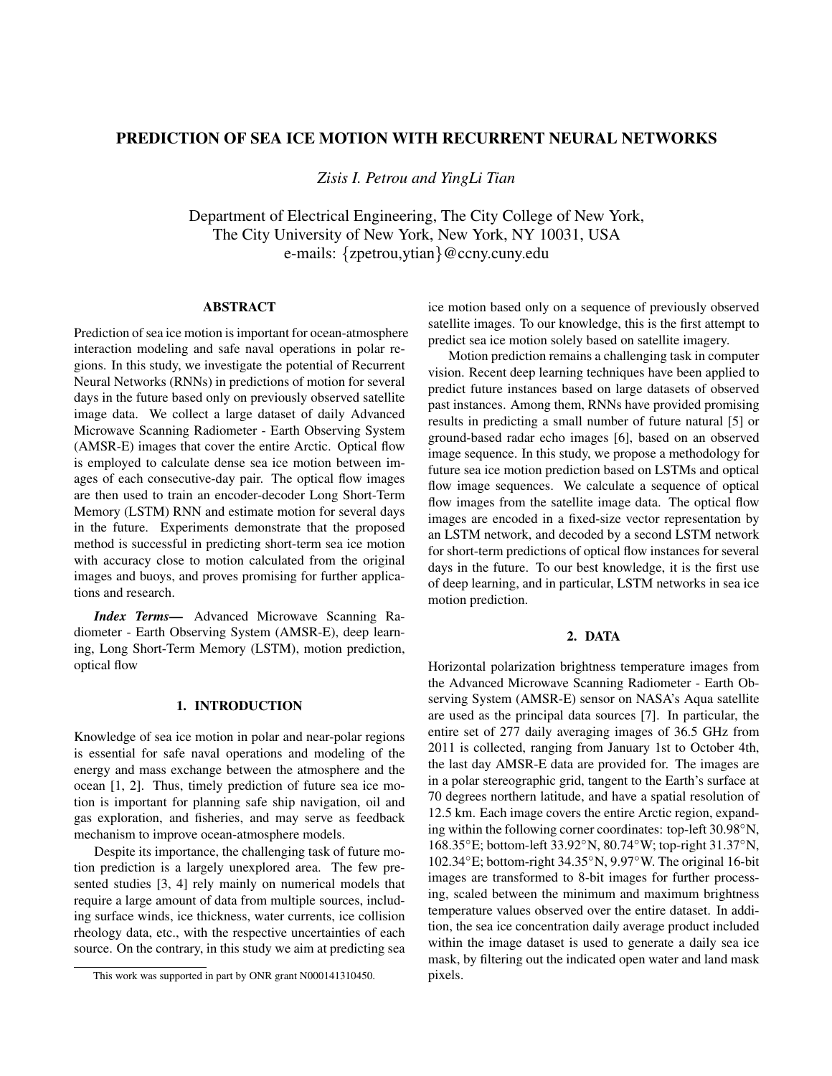# PREDICTION OF SEA ICE MOTION WITH RECURRENT NEURAL NETWORKS

*Zisis I. Petrou and YingLi Tian*

Department of Electrical Engineering, The City College of New York, The City University of New York, New York, NY 10031, USA e-mails: {zpetrou,ytian}@ccny.cuny.edu

## ABSTRACT

Prediction of sea ice motion is important for ocean-atmosphere interaction modeling and safe naval operations in polar regions. In this study, we investigate the potential of Recurrent Neural Networks (RNNs) in predictions of motion for several days in the future based only on previously observed satellite image data. We collect a large dataset of daily Advanced Microwave Scanning Radiometer - Earth Observing System (AMSR-E) images that cover the entire Arctic. Optical flow is employed to calculate dense sea ice motion between images of each consecutive-day pair. The optical flow images are then used to train an encoder-decoder Long Short-Term Memory (LSTM) RNN and estimate motion for several days in the future. Experiments demonstrate that the proposed method is successful in predicting short-term sea ice motion with accuracy close to motion calculated from the original images and buoys, and proves promising for further applications and research.

*Index Terms*— Advanced Microwave Scanning Radiometer - Earth Observing System (AMSR-E), deep learning, Long Short-Term Memory (LSTM), motion prediction, optical flow

## 1. INTRODUCTION

Knowledge of sea ice motion in polar and near-polar regions is essential for safe naval operations and modeling of the energy and mass exchange between the atmosphere and the ocean [1, 2]. Thus, timely prediction of future sea ice motion is important for planning safe ship navigation, oil and gas exploration, and fisheries, and may serve as feedback mechanism to improve ocean-atmosphere models.

Despite its importance, the challenging task of future motion prediction is a largely unexplored area. The few presented studies [3, 4] rely mainly on numerical models that require a large amount of data from multiple sources, including surface winds, ice thickness, water currents, ice collision rheology data, etc., with the respective uncertainties of each source. On the contrary, in this study we aim at predicting sea ice motion based only on a sequence of previously observed satellite images. To our knowledge, this is the first attempt to predict sea ice motion solely based on satellite imagery.

Motion prediction remains a challenging task in computer vision. Recent deep learning techniques have been applied to predict future instances based on large datasets of observed past instances. Among them, RNNs have provided promising results in predicting a small number of future natural [5] or ground-based radar echo images [6], based on an observed image sequence. In this study, we propose a methodology for future sea ice motion prediction based on LSTMs and optical flow image sequences. We calculate a sequence of optical flow images from the satellite image data. The optical flow images are encoded in a fixed-size vector representation by an LSTM network, and decoded by a second LSTM network for short-term predictions of optical flow instances for several days in the future. To our best knowledge, it is the first use of deep learning, and in particular, LSTM networks in sea ice motion prediction.

# 2. DATA

Horizontal polarization brightness temperature images from the Advanced Microwave Scanning Radiometer - Earth Observing System (AMSR-E) sensor on NASA's Aqua satellite are used as the principal data sources [7]. In particular, the entire set of 277 daily averaging images of 36.5 GHz from 2011 is collected, ranging from January 1st to October 4th, the last day AMSR-E data are provided for. The images are in a polar stereographic grid, tangent to the Earth's surface at 70 degrees northern latitude, and have a spatial resolution of 12.5 km. Each image covers the entire Arctic region, expanding within the following corner coordinates: top-left 30.98◦N, 168.35◦E; bottom-left 33.92◦N, 80.74◦W; top-right 31.37◦N, 102.34◦E; bottom-right 34.35◦N, 9.97◦W. The original 16-bit images are transformed to 8-bit images for further processing, scaled between the minimum and maximum brightness temperature values observed over the entire dataset. In addition, the sea ice concentration daily average product included within the image dataset is used to generate a daily sea ice mask, by filtering out the indicated open water and land mask pixels.

This work was supported in part by ONR grant N000141310450.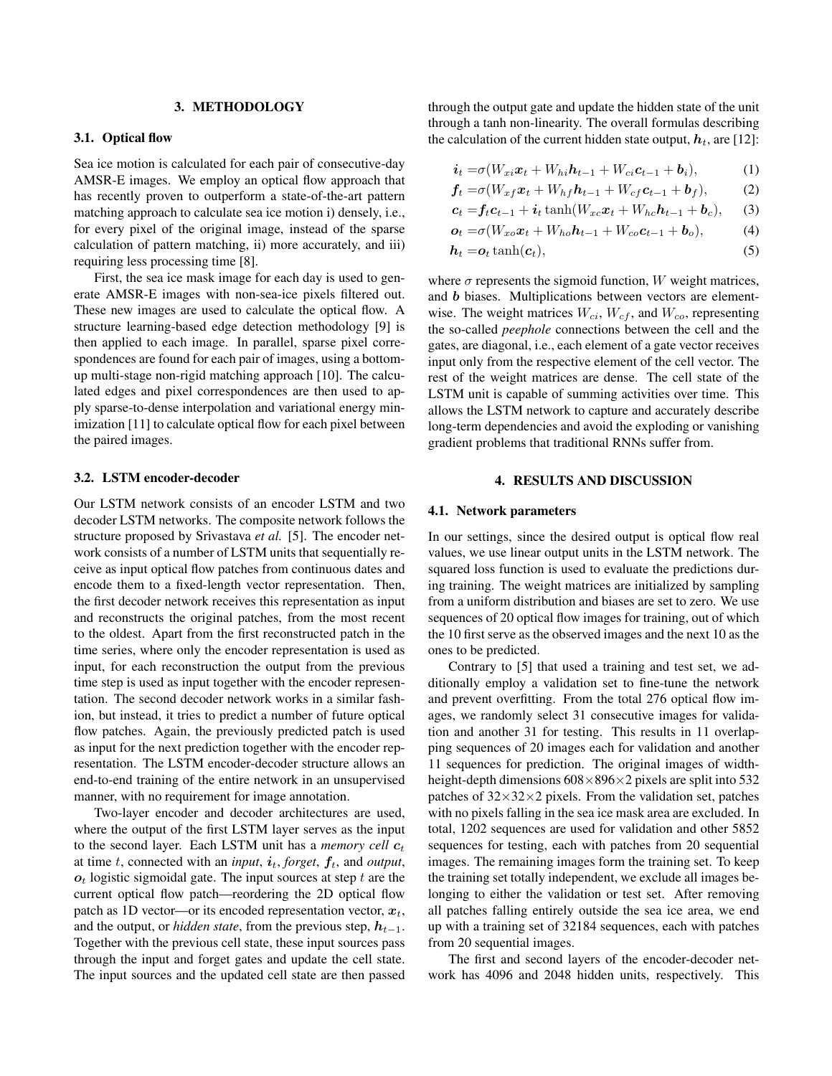## 3. METHODOLOGY

#### 3.1. Optical flow

Sea ice motion is calculated for each pair of consecutive-day AMSR-E images. We employ an optical flow approach that has recently proven to outperform a state-of-the-art pattern matching approach to calculate sea ice motion i) densely, i.e., for every pixel of the original image, instead of the sparse calculation of pattern matching, ii) more accurately, and iii) requiring less processing time [8].

First, the sea ice mask image for each day is used to generate AMSR-E images with non-sea-ice pixels filtered out. These new images are used to calculate the optical flow. A structure learning-based edge detection methodology [9] is then applied to each image. In parallel, sparse pixel correspondences are found for each pair of images, using a bottomup multi-stage non-rigid matching approach [10]. The calculated edges and pixel correspondences are then used to apply sparse-to-dense interpolation and variational energy minimization [11] to calculate optical flow for each pixel between the paired images.

## 3.2. LSTM encoder-decoder

Our LSTM network consists of an encoder LSTM and two decoder LSTM networks. The composite network follows the structure proposed by Srivastava *et al.* [5]. The encoder network consists of a number of LSTM units that sequentially receive as input optical flow patches from continuous dates and encode them to a fixed-length vector representation. Then, the first decoder network receives this representation as input and reconstructs the original patches, from the most recent to the oldest. Apart from the first reconstructed patch in the time series, where only the encoder representation is used as input, for each reconstruction the output from the previous time step is used as input together with the encoder representation. The second decoder network works in a similar fashion, but instead, it tries to predict a number of future optical flow patches. Again, the previously predicted patch is used as input for the next prediction together with the encoder representation. The LSTM encoder-decoder structure allows an end-to-end training of the entire network in an unsupervised manner, with no requirement for image annotation.

Two-layer encoder and decoder architectures are used, where the output of the first LSTM layer serves as the input to the second layer. Each LSTM unit has a *memory cell*  $c_t$ at time t, connected with an *input*,  $i_t$ , *forget*,  $f_t$ , and *output*,  $o_t$  logistic sigmoidal gate. The input sources at step t are the current optical flow patch—reordering the 2D optical flow patch as 1D vector—or its encoded representation vector,  $x_t$ , and the output, or *hidden state*, from the previous step,  $h_{t-1}$ . Together with the previous cell state, these input sources pass through the input and forget gates and update the cell state. The input sources and the updated cell state are then passed through the output gate and update the hidden state of the unit through a tanh non-linearity. The overall formulas describing the calculation of the current hidden state output,  $h_t$ , are [12]:

$$
\boldsymbol{i}_t = \sigma(W_{xi}\boldsymbol{x}_t + W_{hi}\boldsymbol{h}_{t-1} + W_{ci}\boldsymbol{c}_{t-1} + \boldsymbol{b}_i),\tag{1}
$$

$$
\boldsymbol{f}_t = \sigma(W_{xf}\boldsymbol{x}_t + W_{hf}\boldsymbol{h}_{t-1} + W_{cf}\boldsymbol{c}_{t-1} + \boldsymbol{b}_f),
$$
 (2)

$$
\mathbf{c}_t = \mathbf{f}_t \mathbf{c}_{t-1} + \mathbf{i}_t \tanh(W_{xc} \mathbf{x}_t + W_{hc} \mathbf{h}_{t-1} + \mathbf{b}_c), \quad (3)
$$

$$
\boldsymbol{o}_t = \sigma(W_{xo}\boldsymbol{x}_t + W_{ho}\boldsymbol{h}_{t-1} + W_{co}\boldsymbol{c}_{t-1} + \boldsymbol{b}_o),\tag{4}
$$

$$
\boldsymbol{h}_t = \boldsymbol{o}_t \tanh(\boldsymbol{c}_t),\tag{5}
$$

where  $\sigma$  represents the sigmoid function, W weight matrices, and b biases. Multiplications between vectors are elementwise. The weight matrices  $W_{ci}$ ,  $W_{cf}$ , and  $W_{co}$ , representing the so-called *peephole* connections between the cell and the gates, are diagonal, i.e., each element of a gate vector receives input only from the respective element of the cell vector. The rest of the weight matrices are dense. The cell state of the LSTM unit is capable of summing activities over time. This allows the LSTM network to capture and accurately describe long-term dependencies and avoid the exploding or vanishing gradient problems that traditional RNNs suffer from.

#### 4. RESULTS AND DISCUSSION

#### 4.1. Network parameters

In our settings, since the desired output is optical flow real values, we use linear output units in the LSTM network. The squared loss function is used to evaluate the predictions during training. The weight matrices are initialized by sampling from a uniform distribution and biases are set to zero. We use sequences of 20 optical flow images for training, out of which the 10 first serve as the observed images and the next 10 as the ones to be predicted.

Contrary to [5] that used a training and test set, we additionally employ a validation set to fine-tune the network and prevent overfitting. From the total 276 optical flow images, we randomly select 31 consecutive images for validation and another 31 for testing. This results in 11 overlapping sequences of 20 images each for validation and another 11 sequences for prediction. The original images of widthheight-depth dimensions  $608\times896\times2$  pixels are split into 532 patches of  $32\times32\times2$  pixels. From the validation set, patches with no pixels falling in the sea ice mask area are excluded. In total, 1202 sequences are used for validation and other 5852 sequences for testing, each with patches from 20 sequential images. The remaining images form the training set. To keep the training set totally independent, we exclude all images belonging to either the validation or test set. After removing all patches falling entirely outside the sea ice area, we end up with a training set of 32184 sequences, each with patches from 20 sequential images.

The first and second layers of the encoder-decoder network has 4096 and 2048 hidden units, respectively. This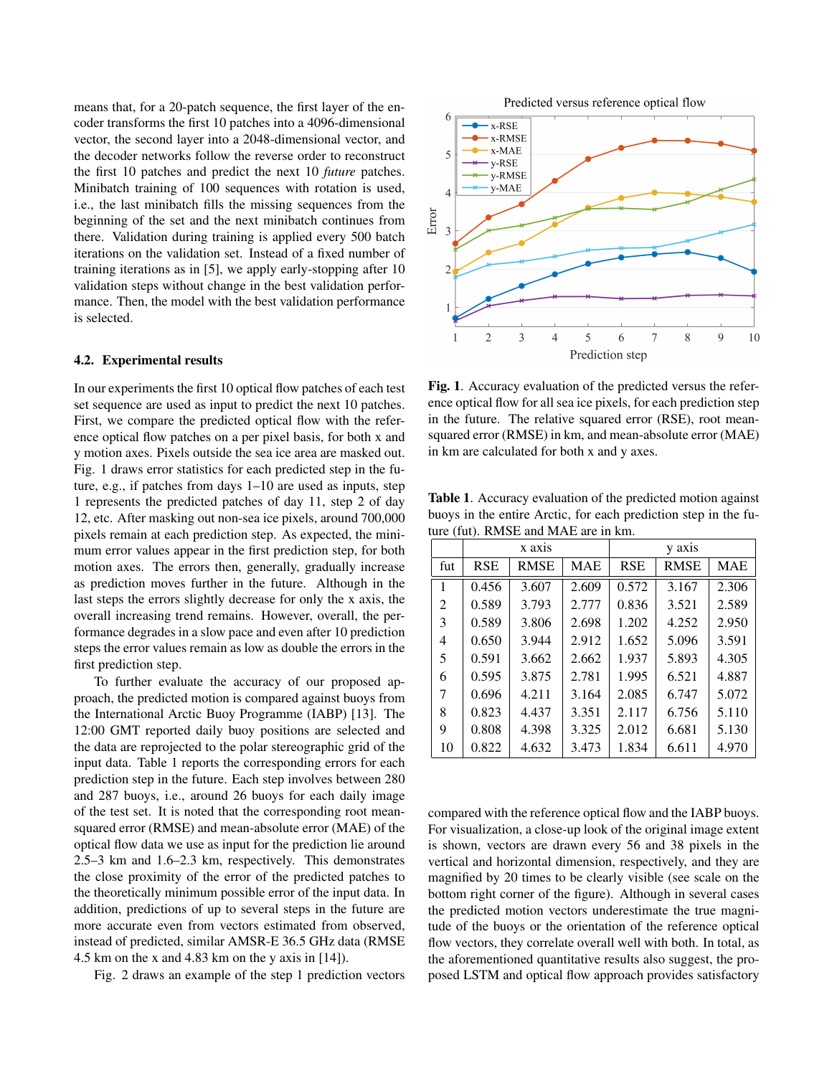means that, for a 20-patch sequence, the first layer of the encoder transforms the first 10 patches into a 4096-dimensional vector, the second layer into a 2048-dimensional vector, and the decoder networks follow the reverse order to reconstruct the first 10 patches and predict the next 10 *future* patches. Minibatch training of 100 sequences with rotation is used, i.e., the last minibatch fills the missing sequences from the beginning of the set and the next minibatch continues from there. Validation during training is applied every 500 batch iterations on the validation set. Instead of a fixed number of training iterations as in [5], we apply early-stopping after 10 validation steps without change in the best validation performance. Then, the model with the best validation performance is selected.

#### 4.2. Experimental results

In our experiments the first 10 optical flow patches of each test set sequence are used as input to predict the next 10 patches. First, we compare the predicted optical flow with the reference optical flow patches on a per pixel basis, for both x and y motion axes. Pixels outside the sea ice area are masked out. Fig. 1 draws error statistics for each predicted step in the future, e.g., if patches from days 1–10 are used as inputs, step 1 represents the predicted patches of day 11, step 2 of day 12, etc. After masking out non-sea ice pixels, around 700,000 pixels remain at each prediction step. As expected, the minimum error values appear in the first prediction step, for both motion axes. The errors then, generally, gradually increase as prediction moves further in the future. Although in the last steps the errors slightly decrease for only the x axis, the overall increasing trend remains. However, overall, the performance degrades in a slow pace and even after 10 prediction steps the error values remain as low as double the errors in the first prediction step.

To further evaluate the accuracy of our proposed approach, the predicted motion is compared against buoys from the International Arctic Buoy Programme (IABP) [13]. The 12:00 GMT reported daily buoy positions are selected and the data are reprojected to the polar stereographic grid of the input data. Table 1 reports the corresponding errors for each prediction step in the future. Each step involves between 280 and 287 buoys, i.e., around 26 buoys for each daily image of the test set. It is noted that the corresponding root meansquared error (RMSE) and mean-absolute error (MAE) of the optical flow data we use as input for the prediction lie around 2.5–3 km and 1.6–2.3 km, respectively. This demonstrates the close proximity of the error of the predicted patches to the theoretically minimum possible error of the input data. In addition, predictions of up to several steps in the future are more accurate even from vectors estimated from observed, instead of predicted, similar AMSR-E 36.5 GHz data (RMSE 4.5 km on the x and 4.83 km on the y axis in [14]).

Fig. 2 draws an example of the step 1 prediction vectors

Predicted versus reference optical flow



Fig. 1. Accuracy evaluation of the predicted versus the reference optical flow for all sea ice pixels, for each prediction step in the future. The relative squared error (RSE), root meansquared error (RMSE) in km, and mean-absolute error (MAE) in km are calculated for both x and y axes.

Table 1. Accuracy evaluation of the predicted motion against buoys in the entire Arctic, for each prediction step in the future (fut). RMSE and MAE are in km.

|     | x axis     |             |            | axis<br>V  |             |            |
|-----|------------|-------------|------------|------------|-------------|------------|
| fut | <b>RSE</b> | <b>RMSE</b> | <b>MAE</b> | <b>RSE</b> | <b>RMSE</b> | <b>MAE</b> |
| 1   | 0.456      | 3.607       | 2.609      | 0.572      | 3.167       | 2.306      |
| 2   | 0.589      | 3.793       | 2.777      | 0.836      | 3.521       | 2.589      |
| 3   | 0.589      | 3.806       | 2.698      | 1.202      | 4.252       | 2.950      |
| 4   | 0.650      | 3.944       | 2.912      | 1.652      | 5.096       | 3.591      |
| 5   | 0.591      | 3.662       | 2.662      | 1.937      | 5.893       | 4.305      |
| 6   | 0.595      | 3.875       | 2.781      | 1.995      | 6.521       | 4.887      |
| 7   | 0.696      | 4.211       | 3.164      | 2.085      | 6.747       | 5.072      |
| 8   | 0.823      | 4.437       | 3.351      | 2.117      | 6.756       | 5.110      |
| 9   | 0.808      | 4.398       | 3.325      | 2.012      | 6.681       | 5.130      |
| 10  | 0.822      | 4.632       | 3.473      | 1.834      | 6.611       | 4.970      |

compared with the reference optical flow and the IABP buoys. For visualization, a close-up look of the original image extent is shown, vectors are drawn every 56 and 38 pixels in the vertical and horizontal dimension, respectively, and they are magnified by 20 times to be clearly visible (see scale on the bottom right corner of the figure). Although in several cases the predicted motion vectors underestimate the true magnitude of the buoys or the orientation of the reference optical flow vectors, they correlate overall well with both. In total, as the aforementioned quantitative results also suggest, the proposed LSTM and optical flow approach provides satisfactory